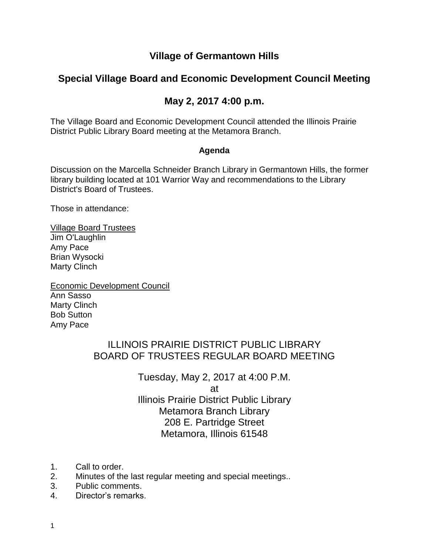#### **Village of Germantown Hills**

## **Special Village Board and Economic Development Council Meeting**

### **May 2, 2017 4:00 p.m.**

The Village Board and Economic Development Council attended the Illinois Prairie District Public Library Board meeting at the Metamora Branch.

#### **Agenda**

Discussion on the Marcella Schneider Branch Library in Germantown Hills, the former library building located at 101 Warrior Way and recommendations to the Library District's Board of Trustees.

Those in attendance:

Village Board Trustees Jim O'Laughlin Amy Pace Brian Wysocki Marty Clinch

Economic Development Council Ann Sasso Marty Clinch Bob Sutton Amy Pace

# ILLINOIS PRAIRIE DISTRICT PUBLIC LIBRARY BOARD OF TRUSTEES REGULAR BOARD MEETING

Tuesday, May 2, 2017 at 4:00 P.M. at Illinois Prairie District Public Library Metamora Branch Library 208 E. Partridge Street Metamora, Illinois 61548

- 1. Call to order.
- 2. Minutes of the last regular meeting and special meetings..
- 3. Public comments.
- 4. Director's remarks.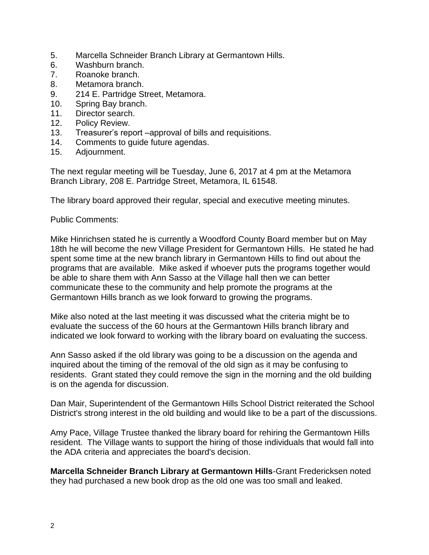- 5. Marcella Schneider Branch Library at Germantown Hills.
- 6. Washburn branch.
- 7. Roanoke branch.
- 8. Metamora branch.
- 9. 214 E. Partridge Street, Metamora.
- 10. Spring Bay branch.
- 11. Director search.
- 12. Policy Review.
- 13. Treasurer's report –approval of bills and requisitions.
- 14. Comments to guide future agendas.
- 15. Adjournment.

The next regular meeting will be Tuesday, June 6, 2017 at 4 pm at the Metamora Branch Library, 208 E. Partridge Street, Metamora, IL 61548.

The library board approved their regular, special and executive meeting minutes.

Public Comments:

Mike Hinrichsen stated he is currently a Woodford County Board member but on May 18th he will become the new Village President for Germantown Hills. He stated he had spent some time at the new branch library in Germantown Hills to find out about the programs that are available. Mike asked if whoever puts the programs together would be able to share them with Ann Sasso at the Village hall then we can better communicate these to the community and help promote the programs at the Germantown Hills branch as we look forward to growing the programs.

Mike also noted at the last meeting it was discussed what the criteria might be to evaluate the success of the 60 hours at the Germantown Hills branch library and indicated we look forward to working with the library board on evaluating the success.

Ann Sasso asked if the old library was going to be a discussion on the agenda and inquired about the timing of the removal of the old sign as it may be confusing to residents. Grant stated they could remove the sign in the morning and the old building is on the agenda for discussion.

Dan Mair, Superintendent of the Germantown Hills School District reiterated the School District's strong interest in the old building and would like to be a part of the discussions.

Amy Pace, Village Trustee thanked the library board for rehiring the Germantown Hills resident. The Village wants to support the hiring of those individuals that would fall into the ADA criteria and appreciates the board's decision.

**Marcella Schneider Branch Library at Germantown Hills**-Grant Fredericksen noted they had purchased a new book drop as the old one was too small and leaked.